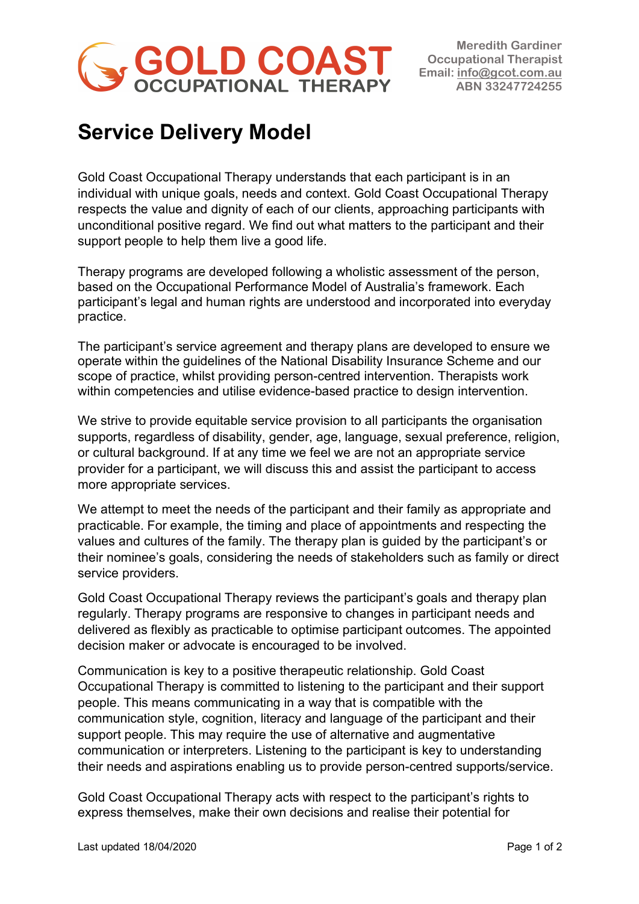

**Meredith Gardiner Occupational Therapist Email: info@gcot.com.au ABN 33247724255** 

## **Service Delivery Model**

Gold Coast Occupational Therapy understands that each participant is in an individual with unique goals, needs and context. Gold Coast Occupational Therapy respects the value and dignity of each of our clients, approaching participants with unconditional positive regard. We find out what matters to the participant and their support people to help them live a good life.

Therapy programs are developed following a wholistic assessment of the person, based on the Occupational Performance Model of Australia's framework. Each participant's legal and human rights are understood and incorporated into everyday practice.

The participant's service agreement and therapy plans are developed to ensure we operate within the guidelines of the National Disability Insurance Scheme and our scope of practice, whilst providing person-centred intervention. Therapists work within competencies and utilise evidence-based practice to design intervention.

We strive to provide equitable service provision to all participants the organisation supports, regardless of disability, gender, age, language, sexual preference, religion, or cultural background. If at any time we feel we are not an appropriate service provider for a participant, we will discuss this and assist the participant to access more appropriate services.

We attempt to meet the needs of the participant and their family as appropriate and practicable. For example, the timing and place of appointments and respecting the values and cultures of the family. The therapy plan is guided by the participant's or their nominee's goals, considering the needs of stakeholders such as family or direct service providers.

Gold Coast Occupational Therapy reviews the participant's goals and therapy plan regularly. Therapy programs are responsive to changes in participant needs and delivered as flexibly as practicable to optimise participant outcomes. The appointed decision maker or advocate is encouraged to be involved.

Communication is key to a positive therapeutic relationship. Gold Coast Occupational Therapy is committed to listening to the participant and their support people. This means communicating in a way that is compatible with the communication style, cognition, literacy and language of the participant and their support people. This may require the use of alternative and augmentative communication or interpreters. Listening to the participant is key to understanding their needs and aspirations enabling us to provide person-centred supports/service.

Gold Coast Occupational Therapy acts with respect to the participant's rights to express themselves, make their own decisions and realise their potential for